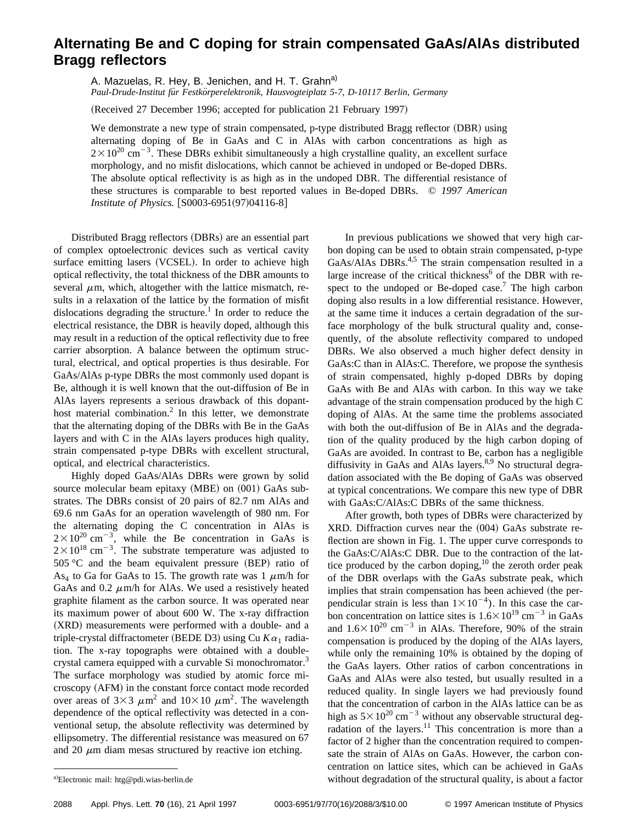## **Alternating Be and C doping for strain compensated GaAs/AlAs distributed Bragg reflectors**

A. Mazuelas, R. Hey, B. Jenichen, and H. T. Grahn<sup>a)</sup> *Paul-Drude-Institut fu¨r Festko¨rperelektronik, Hausvogteiplatz 5-7, D-10117 Berlin, Germany*

(Received 27 December 1996; accepted for publication 21 February 1997)

We demonstrate a new type of strain compensated, p-type distributed Bragg reflector (DBR) using alternating doping of Be in GaAs and C in AlAs with carbon concentrations as high as  $2 \times 10^{20}$  cm<sup>-3</sup>. These DBRs exhibit simultaneously a high crystalline quality, an excellent surface morphology, and no misfit dislocations, which cannot be achieved in undoped or Be-doped DBRs. The absolute optical reflectivity is as high as in the undoped DBR. The differential resistance of these structures is comparable to best reported values in Be-doped DBRs. © *1997 American Institute of Physics.* [S0003-6951(97)04116-8]

Distributed Bragg reflectors (DBRs) are an essential part of complex optoelectronic devices such as vertical cavity surface emitting lasers (VCSEL). In order to achieve high optical reflectivity, the total thickness of the DBR amounts to several  $\mu$ m, which, altogether with the lattice mismatch, results in a relaxation of the lattice by the formation of misfit dislocations degrading the structure.<sup>1</sup> In order to reduce the electrical resistance, the DBR is heavily doped, although this may result in a reduction of the optical reflectivity due to free carrier absorption. A balance between the optimum structural, electrical, and optical properties is thus desirable. For GaAs/AlAs p-type DBRs the most commonly used dopant is Be, although it is well known that the out-diffusion of Be in AlAs layers represents a serious drawback of this dopanthost material combination. $^{2}$  In this letter, we demonstrate that the alternating doping of the DBRs with Be in the GaAs layers and with C in the AlAs layers produces high quality, strain compensated p-type DBRs with excellent structural, optical, and electrical characteristics.

Highly doped GaAs/AlAs DBRs were grown by solid source molecular beam epitaxy  $(MBE)$  on  $(001)$  GaAs substrates. The DBRs consist of 20 pairs of 82.7 nm AlAs and 69.6 nm GaAs for an operation wavelength of 980 nm. For the alternating doping the C concentration in AlAs is  $2 \times 10^{20}$  cm<sup>-3</sup>, while the Be concentration in GaAs is  $2\times10^{18}$  cm<sup>-3</sup>. The substrate temperature was adjusted to  $505 \degree C$  and the beam equivalent pressure (BEP) ratio of As<sub>4</sub> to Ga for GaAs to 15. The growth rate was 1  $\mu$ m/h for GaAs and 0.2  $\mu$ m/h for AlAs. We used a resistively heated graphite filament as the carbon source. It was operated near its maximum power of about 600 W. The x-ray diffraction (XRD) measurements were performed with a double- and a triple-crystal diffractometer (BEDE D3) using Cu  $K\alpha_1$  radiation. The x-ray topographs were obtained with a doublecrystal camera equipped with a curvable Si monochromator.<sup>3</sup> The surface morphology was studied by atomic force microscopy (AFM) in the constant force contact mode recorded over areas of  $3\times3 \mu m^2$  and  $10\times10 \mu m^2$ . The wavelength dependence of the optical reflectivity was detected in a conventional setup, the absolute reflectivity was determined by ellipsometry. The differential resistance was measured on 67 and 20  $\mu$ m diam mesas structured by reactive ion etching.

In previous publications we showed that very high carbon doping can be used to obtain strain compensated, p-type GaAs/AlAs DBRs.<sup>4,5</sup> The strain compensation resulted in a large increase of the critical thickness<sup>6</sup> of the DBR with respect to the undoped or Be-doped case.<sup>7</sup> The high carbon doping also results in a low differential resistance. However, at the same time it induces a certain degradation of the surface morphology of the bulk structural quality and, consequently, of the absolute reflectivity compared to undoped DBRs. We also observed a much higher defect density in GaAs:C than in AlAs:C. Therefore, we propose the synthesis of strain compensated, highly p-doped DBRs by doping GaAs with Be and AlAs with carbon. In this way we take advantage of the strain compensation produced by the high C doping of AlAs. At the same time the problems associated with both the out-diffusion of Be in AlAs and the degradation of the quality produced by the high carbon doping of GaAs are avoided. In contrast to Be, carbon has a negligible diffusivity in GaAs and AlAs layers. $8,9$  No structural degradation associated with the Be doping of GaAs was observed at typical concentrations. We compare this new type of DBR with GaAs:C/AlAs:C DBRs of the same thickness.

After growth, both types of DBRs were characterized by  $XRD$ . Diffraction curves near the  $(004)$  GaAs substrate reflection are shown in Fig. 1. The upper curve corresponds to the GaAs:C/AlAs:C DBR. Due to the contraction of the lattice produced by the carbon doping, $^{10}$  the zeroth order peak of the DBR overlaps with the GaAs substrate peak, which implies that strain compensation has been achieved (the perpendicular strain is less than  $1 \times 10^{-4}$ ). In this case the carbon concentration on lattice sites is  $1.6 \times 10^{19}$  cm<sup>-3</sup> in GaAs and  $1.6\times10^{20}$  cm<sup>-3</sup> in AlAs. Therefore, 90% of the strain compensation is produced by the doping of the AlAs layers, while only the remaining 10% is obtained by the doping of the GaAs layers. Other ratios of carbon concentrations in GaAs and AlAs were also tested, but usually resulted in a reduced quality. In single layers we had previously found that the concentration of carbon in the AlAs lattice can be as high as  $5 \times 10^{20}$  cm<sup>-3</sup> without any observable structural degradation of the layers.<sup>11</sup> This concentration is more than a factor of 2 higher than the concentration required to compensate the strain of AlAs on GaAs. However, the carbon concentration on lattice sites, which can be achieved in GaAs without degradation of the structural quality, is about a factor

Electronic mail: htg@pdi.wias-berlin.de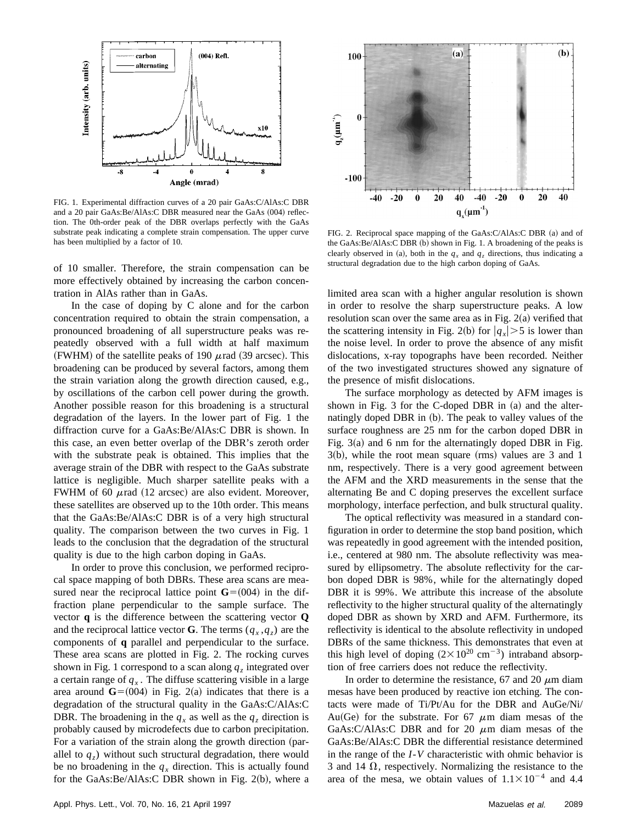

FIG. 1. Experimental diffraction curves of a 20 pair GaAs:C/AlAs:C DBR and a 20 pair GaAs:Be/AlAs:C DBR measured near the GaAs (004) reflection. The 0th-order peak of the DBR overlaps perfectly with the GaAs substrate peak indicating a complete strain compensation. The upper curve has been multiplied by a factor of 10.

of 10 smaller. Therefore, the strain compensation can be more effectively obtained by increasing the carbon concentration in AlAs rather than in GaAs.

In the case of doping by C alone and for the carbon concentration required to obtain the strain compensation, a pronounced broadening of all superstructure peaks was repeatedly observed with a full width at half maximum (FWHM) of the satellite peaks of 190  $\mu$  rad (39 arcsec). This broadening can be produced by several factors, among them the strain variation along the growth direction caused, e.g., by oscillations of the carbon cell power during the growth. Another possible reason for this broadening is a structural degradation of the layers. In the lower part of Fig. 1 the diffraction curve for a GaAs:Be/AlAs:C DBR is shown. In this case, an even better overlap of the DBR's zeroth order with the substrate peak is obtained. This implies that the average strain of the DBR with respect to the GaAs substrate lattice is negligible. Much sharper satellite peaks with a FWHM of 60  $\mu$ rad (12 arcsec) are also evident. Moreover, these satellites are observed up to the 10th order. This means that the GaAs:Be/AlAs:C DBR is of a very high structural quality. The comparison between the two curves in Fig. 1 leads to the conclusion that the degradation of the structural quality is due to the high carbon doping in GaAs.

In order to prove this conclusion, we performed reciprocal space mapping of both DBRs. These area scans are measured near the reciprocal lattice point  $\mathbf{G}=(004)$  in the diffraction plane perpendicular to the sample surface. The vector **q** is the difference between the scattering vector **Q** and the reciprocal lattice vector **G**. The terms  $(q_x, q_z)$  are the components of **q** parallel and perpendicular to the surface. These area scans are plotted in Fig. 2. The rocking curves shown in Fig. 1 correspond to a scan along  $q<sub>z</sub>$  integrated over a certain range of  $q_x$ . The diffuse scattering visible in a large area around  $\mathbf{G}=(004)$  in Fig. 2(a) indicates that there is a degradation of the structural quality in the GaAs:C/AlAs:C DBR. The broadening in the  $q_x$  as well as the  $q_z$  direction is probably caused by microdefects due to carbon precipitation. For a variation of the strain along the growth direction (parallel to  $q<sub>z</sub>$ ) without such structural degradation, there would be no broadening in the  $q_x$  direction. This is actually found for the GaAs:Be/AlAs:C DBR shown in Fig.  $2(b)$ , where a



FIG. 2. Reciprocal space mapping of the GaAs:C/AlAs:C DBR (a) and of the GaAs: $Be/AlAs:CDBR$  (b) shown in Fig. 1. A broadening of the peaks is clearly observed in (a), both in the  $q_x$  and  $q_z$  directions, thus indicating a structural degradation due to the high carbon doping of GaAs.

limited area scan with a higher angular resolution is shown in order to resolve the sharp superstructure peaks. A low resolution scan over the same area as in Fig.  $2(a)$  verified that the scattering intensity in Fig. 2(b) for  $|q_x| > 5$  is lower than the noise level. In order to prove the absence of any misfit dislocations, x-ray topographs have been recorded. Neither of the two investigated structures showed any signature of the presence of misfit dislocations.

The surface morphology as detected by AFM images is shown in Fig. 3 for the C-doped DBR in  $(a)$  and the alternatingly doped DBR in (b). The peak to valley values of the surface roughness are 25 nm for the carbon doped DBR in Fig.  $3(a)$  and 6 nm for the alternatingly doped DBR in Fig.  $3(b)$ , while the root mean square (rms) values are 3 and 1 nm, respectively. There is a very good agreement between the AFM and the XRD measurements in the sense that the alternating Be and C doping preserves the excellent surface morphology, interface perfection, and bulk structural quality.

The optical reflectivity was measured in a standard configuration in order to determine the stop band position, which was repeatedly in good agreement with the intended position, i.e., centered at 980 nm. The absolute reflectivity was measured by ellipsometry. The absolute reflectivity for the carbon doped DBR is 98%, while for the alternatingly doped DBR it is 99%. We attribute this increase of the absolute reflectivity to the higher structural quality of the alternatingly doped DBR as shown by XRD and AFM. Furthermore, its reflectivity is identical to the absolute reflectivity in undoped DBRs of the same thickness. This demonstrates that even at this high level of doping  $(2 \times 10^{20} \text{ cm}^{-3})$  intraband absorption of free carriers does not reduce the reflectivity.

In order to determine the resistance, 67 and 20  $\mu$ m diam mesas have been produced by reactive ion etching. The contacts were made of Ti/Pt/Au for the DBR and AuGe/Ni/ Au(Ge) for the substrate. For 67  $\mu$ m diam mesas of the GaAs:C/AlAs:C DBR and for 20  $\mu$ m diam mesas of the GaAs:Be/AlAs:C DBR the differential resistance determined in the range of the *I*-*V* characteristic with ohmic behavior is 3 and 14  $\Omega$ , respectively. Normalizing the resistance to the area of the mesa, we obtain values of  $1.1 \times 10^{-4}$  and 4.4